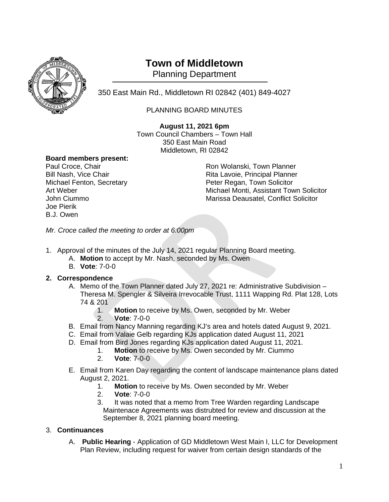

# **Town of Middletown**

Planning Department

350 East Main Rd., Middletown RI 02842 (401) 849-4027 <sup>1</sup>

## PLANNING BOARD MINUTES

**August 11, 2021 6pm** Town Council Chambers – Town Hall 350 East Main Road Middletown, RI 02842

# **Board members present:**

Joe Pierik B.J. Owen

Ron Wolanski, Town Planner Bill Nash, Vice Chair **Rita Lavoie, Principal Planner** Rita Lavoie, Principal Planner Michael Fenton, Secretary Peter Regan, Town Solicitor Art Weber Michael Monti, Assistant Town Solicitor<br>
John Ciummo **Michael Monti, Assistant Town Solicitor**<br>
Marissa Deausatel, Conflict Solicitor Marissa Deausatel, Conflict Solicitor

*Mr. Croce called the meeting to order at 6:00pm*

- 1. Approval of the minutes of the July 14, 2021 regular Planning Board meeting.
	- A. **Motion** to accept by Mr. Nash, seconded by Ms. Owen
	- B. **Vote**: 7-0-0

#### **2. Correspondence**

- A. Memo of the Town Planner dated July 27, 2021 re: Administrative Subdivision Theresa M. Spengler & Silveira Irrevocable Trust, 1111 Wapping Rd. Plat 128, Lots 74 & 201
	- 1. **Motion** to receive by Ms. Owen, seconded by Mr. Weber 2. **Vote**: 7-0-0
- B. Email from Nancy Manning regarding KJ's area and hotels dated August 9, 2021.
- C. Email from Valaie Gelb regarding KJs application dated August 11, 2021
- D. Email from Bird Jones regarding KJs application dated August 11, 2021.
	- 1. **Motion** to receive by Ms. Owen seconded by Mr. Ciummo
	- 2. **Vote**: 7-0-0
- E. Email from Karen Day regarding the content of landscape maintenance plans dated August 2, 2021.
	- 1. **Motion** to receive by Ms. Owen seconded by Mr. Weber
	- 2. **Vote**: 7-0-0
	- 3. It was noted that a memo from Tree Warden regarding Landscape Maintenace Agreements was distrubted for review and discussion at the September 8, 2021 planning board meeting.

### 3. **Continuances**

A. **Public Hearing** - Application of GD Middletown West Main I, LLC for Development Plan Review, including request for waiver from certain design standards of the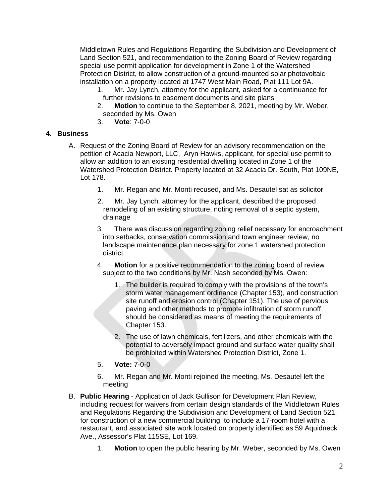Middletown Rules and Regulations Regarding the Subdivision and Development of Land Section 521, and recommendation to the Zoning Board of Review regarding special use permit application for development in Zone 1 of the Watershed Protection District, to allow construction of a ground-mounted solar photovoltaic installation on a property located at 1747 West Main Road, Plat 111 Lot 9A.

- 1. Mr. Jay Lynch, attorney for the applicant, asked for a continuance for further revisions to easement documents and site plans
- 2. **Motion** to continue to the September 8, 2021, meeting by Mr. Weber, seconded by Ms. Owen
- 3. **Vote**: 7-0-0

#### **4. Business**

- A. Request of the Zoning Board of Review for an advisory recommendation on the petition of Acacia Newport, LLC, Aryn Hawks, applicant, for special use permit to allow an addition to an existing residential dwelling located in Zone 1 of the Watershed Protection District. Property located at 32 Acacia Dr. South, Plat 109NE, Lot 178.
	- 1. Mr. Regan and Mr. Monti recused, and Ms. Desautel sat as solicitor
	- 2. Mr. Jay Lynch, attorney for the applicant, described the proposed remodeling of an existing structure, noting removal of a septic system, drainage
	- 3. There was discussion regarding zoning relief necessary for encroachment into setbacks, conservation commission and town engineer review, no landscape maintenance plan necessary for zone 1 watershed protection district
	- 4. **Motion** for a positive recommendation to the zoning board of review subject to the two conditions by Mr. Nash seconded by Ms. Owen:
		- 1. The builder is required to comply with the provisions of the town's storm water management ordinance (Chapter 153), and construction site runoff and erosion control (Chapter 151). The use of pervious paving and other methods to promote infiltration of storm runoff should be considered as means of meeting the requirements of Chapter 153.
		- 2. The use of lawn chemicals, fertilizers, and other chemicals with the potential to adversely impact ground and surface water quality shall be prohibited within Watershed Protection District, Zone 1.
	- 5. **Vote:** 7-0-0
	- 6. Mr. Regan and Mr. Monti rejoined the meeting, Ms. Desautel left the meeting
- B. **Public Hearing** Application of Jack Gullison for Development Plan Review, including request for waivers from certain design standards of the Middletown Rules and Regulations Regarding the Subdivision and Development of Land Section 521, for construction of a new commercial building, to include a 17-room hotel with a restaurant, and associated site work located on property identified as 59 Aquidneck Ave., Assessor's Plat 115SE, Lot 169.
	- 1. **Motion** to open the public hearing by Mr. Weber, seconded by Ms. Owen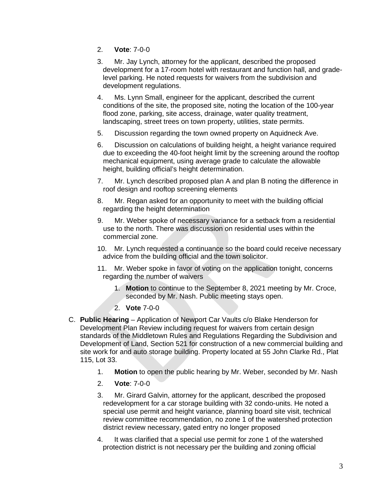- 2. **Vote**: 7-0-0
- 3. Mr. Jay Lynch, attorney for the applicant, described the proposed development for a 17-room hotel with restaurant and function hall, and gradelevel parking. He noted requests for waivers from the subdivision and development regulations.
- 4. Ms. Lynn Small, engineer for the applicant, described the current conditions of the site, the proposed site, noting the location of the 100-year flood zone, parking, site access, drainage, water quality treatment, landscaping, street trees on town property, utilities, state permits.
- 5. Discussion regarding the town owned property on Aquidneck Ave.
- 6. Discussion on calculations of building height, a height variance required due to exceeding the 40-foot height limit by the screening around the rooftop mechanical equipment, using average grade to calculate the allowable height, building official's height determination.
- 7. Mr. Lynch described proposed plan A and plan B noting the difference in roof design and rooftop screening elements
- 8. Mr. Regan asked for an opportunity to meet with the building official regarding the height determination
- 9. Mr. Weber spoke of necessary variance for a setback from a residential use to the north. There was discussion on residential uses within the commercial zone.
- 10. Mr. Lynch requested a continuance so the board could receive necessary advice from the building official and the town solicitor.
- 11. Mr. Weber spoke in favor of voting on the application tonight, concerns regarding the number of waivers
	- 1. **Motion** to continue to the September 8, 2021 meeting by Mr. Croce, seconded by Mr. Nash. Public meeting stays open.
	- 2. **Vote** 7-0-0
- C. **Public Hearing** Application of Newport Car Vaults c/o Blake Henderson for Development Plan Review including request for waivers from certain design standards of the Middletown Rules and Regulations Regarding the Subdivision and Development of Land, Section 521 for construction of a new commercial building and site work for and auto storage building. Property located at 55 John Clarke Rd., Plat 115, Lot 33.
	- 1. **Motion** to open the public hearing by Mr. Weber, seconded by Mr. Nash
	- 2. **Vote**: 7-0-0
	- 3. Mr. Girard Galvin, attorney for the applicant, described the proposed redevelopment for a car storage building with 32 condo-units. He noted a special use permit and height variance, planning board site visit, technical review committee recommendation, no zone 1 of the watershed protection district review necessary, gated entry no longer proposed
	- 4. It was clarified that a special use permit for zone 1 of the watershed protection district is not necessary per the building and zoning official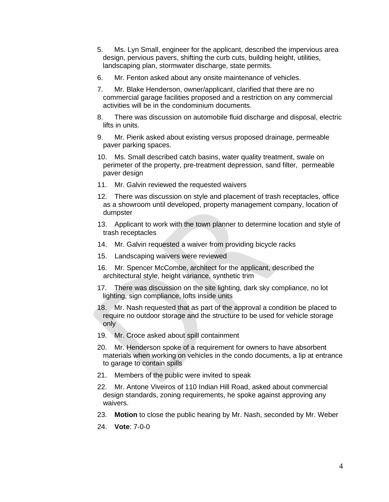- 5. Ms. Lyn Small, engineer for the applicant, described the impervious area design, pervious pavers, shifting the curb cuts, building height, utilities, landscaping plan, stormwater discharge, state permits.
- 6. Mr. Fenton asked about any onsite maintenance of vehicles.
- 7. Mr. Blake Henderson, owner/applicant, clarified that there are no commercial garage facilities proposed and a restriction on any commercial activities will be in the condominium documents.
- 8. There was discussion on automobile fluid discharge and disposal, electric lifts in units.
- 9. Mr. Pierik asked about existing versus proposed drainage, permeable paver parking spaces.
- 10. Ms. Small described catch basins, water quality treatment, swale on perimeter of the property, pre-treatment depression, sand filter, permeable paver design
- 11. Mr. Galvin reviewed the requested waivers
- 12. There was discussion on style and placement of trash receptacles, office as a showroom until developed, property management company, location of dumpster
- 13. Applicant to work with the town planner to determine location and style of trash receptacles
- 14. Mr. Galvin requested a waiver from providing bicycle racks
- 15. Landscaping waivers were reviewed
- 16. Mr. Spencer McCombe, architect for the applicant, described the architectural style, height variance, synthetic trim
- 17. There was discussion on the site lighting, dark sky compliance, no lot lighting, sign compliance, lofts inside units
- 18. Mr. Nash requested that as part of the approval a condition be placed to require no outdoor storage and the structure to be used for vehicle storage only
- 19. Mr. Croce asked about spill containment
- 20. Mr. Henderson spoke of a requirement for owners to have absorbent materials when working on vehicles in the condo documents, a lip at entrance to garage to contain spills
- 21. Members of the public were invited to speak
- 22. Mr. Antone Viveiros of 110 Indian Hill Road, asked about commercial design standards, zoning requirements, he spoke against approving any waivers.
- 23. **Motion** to close the public hearing by Mr. Nash, seconded by Mr. Weber
- 24. **Vote**: 7-0-0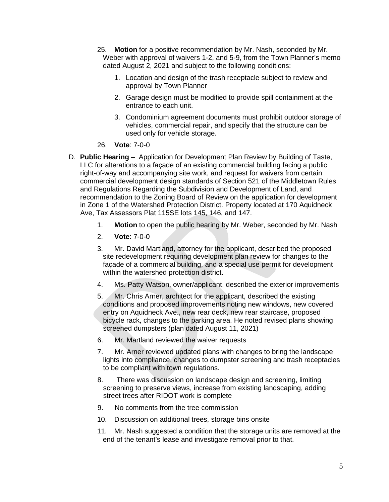- 25. **Motion** for a positive recommendation by Mr. Nash, seconded by Mr. Weber with approval of waivers 1-2, and 5-9, from the Town Planner's memo dated August 2, 2021 and subject to the following conditions:
	- 1. Location and design of the trash receptacle subject to review and approval by Town Planner
	- 2. Garage design must be modified to provide spill containment at the entrance to each unit.
	- 3. Condominium agreement documents must prohibit outdoor storage of vehicles, commercial repair, and specify that the structure can be used only for vehicle storage.
- 26. **Vote**: 7-0-0
- D. **Public Hearing** Application for Development Plan Review by Building of Taste, LLC for alterations to a façade of an existing commercial building facing a public right-of-way and accompanying site work, and request for waivers from certain commercial development design standards of Section 521 of the Middletown Rules and Regulations Regarding the Subdivision and Development of Land, and recommendation to the Zoning Board of Review on the application for development in Zone 1 of the Watershed Protection District. Property located at 170 Aquidneck Ave, Tax Assessors Plat 115SE lots 145, 146, and 147.
	- 1. **Motion** to open the public hearing by Mr. Weber, seconded by Mr. Nash
	- 2. **Vote**: 7-0-0
	- 3. Mr. David Martland, attorney for the applicant, described the proposed site redevelopment requiring development plan review for changes to the façade of a commercial building, and a special use permit for development within the watershed protection district.
	- 4. Ms. Patty Watson, owner/applicant, described the exterior improvements
	- 5. Mr. Chris Arner, architect for the applicant, described the existing conditions and proposed improvements noting new windows, new covered entry on Aquidneck Ave., new rear deck, new rear staircase, proposed bicycle rack, changes to the parking area. He noted revised plans showing screened dumpsters (plan dated August 11, 2021)
	- 6. Mr. Martland reviewed the waiver requests
	- 7. Mr. Arner reviewed updated plans with changes to bring the landscape lights into compliance, changes to dumpster screening and trash receptacles to be compliant with town regulations.
	- 8. There was discussion on landscape design and screening, limiting screening to preserve views, increase from existing landscaping, adding street trees after RIDOT work is complete
	- 9. No comments from the tree commission
	- 10. Discussion on additional trees, storage bins onsite
	- 11. Mr. Nash suggested a condition that the storage units are removed at the end of the tenant's lease and investigate removal prior to that.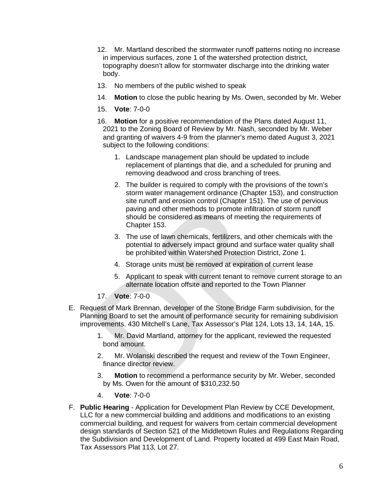- 12. Mr. Martland described the stormwater runoff patterns noting no increase in impervious surfaces, zone 1 of the watershed protection district, topography doesn't allow for stormwater discharge into the drinking water body.
- 13. No members of the public wished to speak
- 14. **Motion** to close the public hearing by Ms. Owen, seconded by Mr. Weber
- 15. **Vote**: 7-0-0
- 16. **Motion** for a positive recommendation of the Plans dated August 11, 2021 to the Zoning Board of Review by Mr. Nash, seconded by Mr. Weber and granting of waivers 4-9 from the planner's memo dated August 3, 2021 subject to the following conditions:
	- 1. Landscape management plan should be updated to include replacement of plantings that die, and a scheduled for pruning and removing deadwood and cross branching of trees.
	- 2. The builder is required to comply with the provisions of the town's storm water management ordinance (Chapter 153), and construction site runoff and erosion control (Chapter 151). The use of pervious paving and other methods to promote infiltration of storm runoff should be considered as means of meeting the requirements of Chapter 153.
	- 3. The use of lawn chemicals, fertilizers, and other chemicals with the potential to adversely impact ground and surface water quality shall be prohibited within Watershed Protection District, Zone 1.
	- 4. Storage units must be removed at expiration of current lease
	- 5. Applicant to speak with current tenant to remove current storage to an alternate location offsite and reported to the Town Planner
- 17. **Vote**: 7-0-0
- E. Request of Mark Brennan, developer of the Stone Bridge Farm subdivision, for the Planning Board to set the amount of performance security for remaining subdivision improvements. 430 Mitchell's Lane, Tax Assessor's Plat 124, Lots 13, 14, 14A, 15.
	- 1. Mr. David Martland, attorney for the applicant, reviewed the requested bond amount.
	- 2. Mr. Wolanski described the request and review of the Town Engineer, finance director review.
	- 3. **Motion** to recommend a performance security by Mr. Weber, seconded by Ms. Owen for the amount of \$310,232.50
	- 4. **Vote**: 7-0-0
- F. **Public Hearing** Application for Development Plan Review by CCE Development, LLC for a new commercial building and additions and modifications to an existing commercial building, and request for waivers from certain commercial development design standards of Section 521 of the Middletown Rules and Regulations Regarding the Subdivision and Development of Land. Property located at 499 East Main Road, Tax Assessors Plat 113, Lot 27.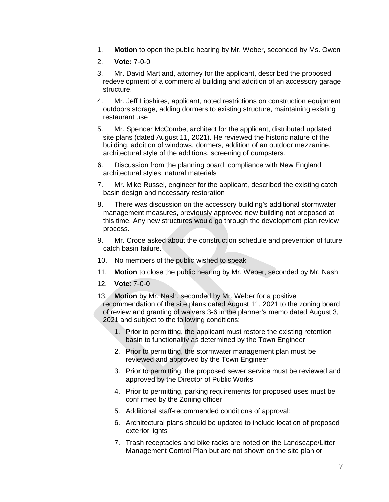- 1. **Motion** to open the public hearing by Mr. Weber, seconded by Ms. Owen
- 2. **Vote:** 7-0-0
- 3. Mr. David Martland, attorney for the applicant, described the proposed redevelopment of a commercial building and addition of an accessory garage structure.
- 4. Mr. Jeff Lipshires, applicant, noted restrictions on construction equipment outdoors storage, adding dormers to existing structure, maintaining existing restaurant use
- 5. Mr. Spencer McCombe, architect for the applicant, distributed updated site plans (dated August 11, 2021). He reviewed the historic nature of the building, addition of windows, dormers, addition of an outdoor mezzanine, architectural style of the additions, screening of dumpsters.
- 6. Discussion from the planning board: compliance with New England architectural styles, natural materials
- 7. Mr. Mike Russel, engineer for the applicant, described the existing catch basin design and necessary restoration
- 8. There was discussion on the accessory building's additional stormwater management measures, previously approved new building not proposed at this time. Any new structures would go through the development plan review process.
- 9. Mr. Croce asked about the construction schedule and prevention of future catch basin failure.
- 10. No members of the public wished to speak
- 11. **Motion** to close the public hearing by Mr. Weber, seconded by Mr. Nash
- 12. **Vote**: 7-0-0
- 13. **Motion** by Mr. Nash, seconded by Mr. Weber for a positive recommendation of the site plans dated August 11, 2021 to the zoning board of review and granting of waivers 3-6 in the planner's memo dated August 3, 2021 and subject to the following conditions:
	- 1. Prior to permitting, the applicant must restore the existing retention basin to functionality as determined by the Town Engineer
	- 2. Prior to permitting, the stormwater management plan must be reviewed and approved by the Town Engineer
	- 3. Prior to permitting, the proposed sewer service must be reviewed and approved by the Director of Public Works
	- 4. Prior to permitting, parking requirements for proposed uses must be confirmed by the Zoning officer
	- 5. Additional staff-recommended conditions of approval:
	- 6. Architectural plans should be updated to include location of proposed exterior lights
	- 7. Trash receptacles and bike racks are noted on the Landscape/Litter Management Control Plan but are not shown on the site plan or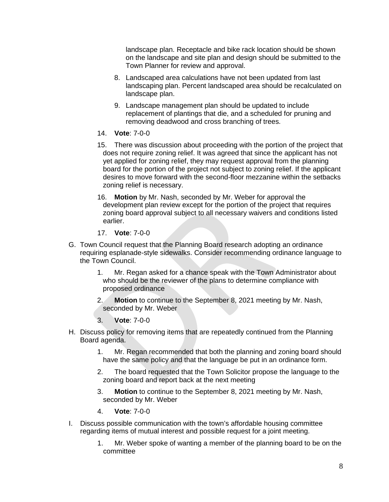landscape plan. Receptacle and bike rack location should be shown on the landscape and site plan and design should be submitted to the Town Planner for review and approval.

- 8. Landscaped area calculations have not been updated from last landscaping plan. Percent landscaped area should be recalculated on landscape plan.
- 9. Landscape management plan should be updated to include replacement of plantings that die, and a scheduled for pruning and removing deadwood and cross branching of trees.
- 14. **Vote**: 7-0-0
- 15. There was discussion about proceeding with the portion of the project that does not require zoning relief. It was agreed that since the applicant has not yet applied for zoning relief, they may request approval from the planning board for the portion of the project not subject to zoning relief. If the applicant desires to move forward with the second-floor mezzanine within the setbacks zoning relief is necessary.
- 16. **Motion** by Mr. Nash, seconded by Mr. Weber for approval the development plan review except for the portion of the project that requires zoning board approval subject to all necessary waivers and conditions listed earlier.
- 17. **Vote**: 7-0-0
- G. Town Council request that the Planning Board research adopting an ordinance requiring esplanade-style sidewalks. Consider recommending ordinance language to the Town Council.
	- 1. Mr. Regan asked for a chance speak with the Town Administrator about who should be the reviewer of the plans to determine compliance with proposed ordinance
	- 2. **Motion** to continue to the September 8, 2021 meeting by Mr. Nash, seconded by Mr. Weber
	- 3. **Vote**: 7-0-0
- H. Discuss policy for removing items that are repeatedly continued from the Planning Board agenda.
	- 1. Mr. Regan recommended that both the planning and zoning board should have the same policy and that the language be put in an ordinance form.
	- 2. The board requested that the Town Solicitor propose the language to the zoning board and report back at the next meeting
	- 3. **Motion** to continue to the September 8, 2021 meeting by Mr. Nash, seconded by Mr. Weber
	- 4. **Vote**: 7-0-0
- I. Discuss possible communication with the town's affordable housing committee regarding items of mutual interest and possible request for a joint meeting.
	- 1. Mr. Weber spoke of wanting a member of the planning board to be on the committee